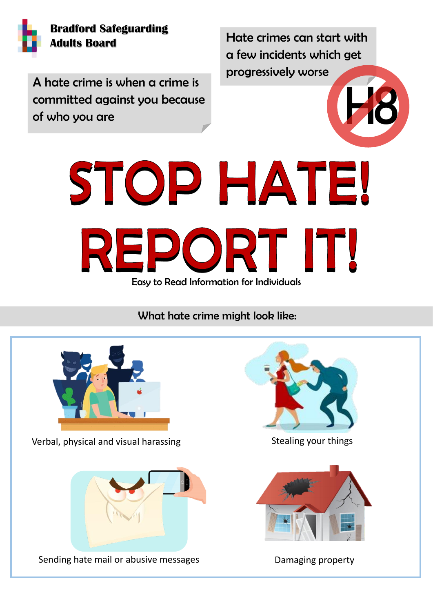

## **Bradford Safeguarding Adults Board**

Hate crimes can start with a few incidents which get progressively worse

A hate crime is when a crime is<br>committed against you because<br>of who you are committed against you because of who you are



What hate crime might look like:



Verbal, physical and visual harassing



Sending hate mail or abusive messages

messages in de



Stealing your things



## Damaging property